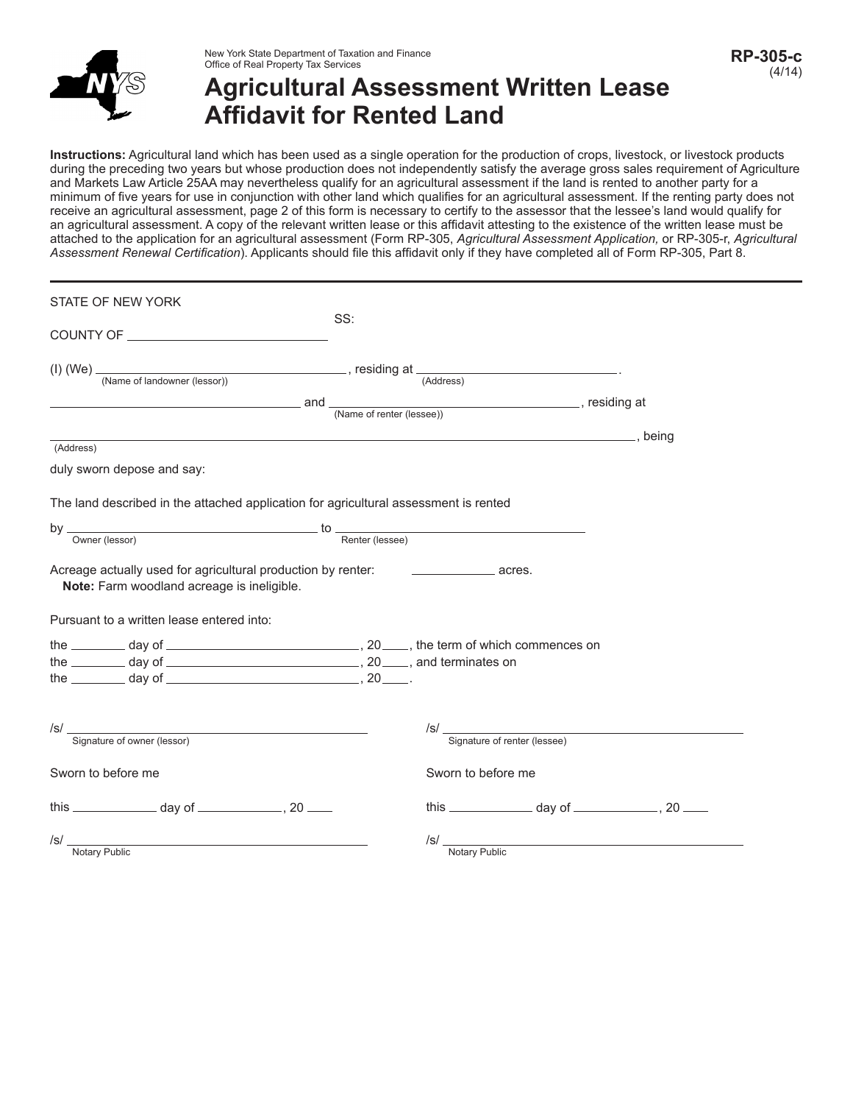

## **Agricultural Assessment Written Lease Affidavit for Rented Land**

Instructions: Agricultural land which has been used as a single operation for the production of crops, livestock, or livestock products during the preceding two years but whose production does not independently satisfy the average gross sales requirement of Agriculture and Markets Law Article 25AA may nevertheless qualify for an agricultural assessment if the land is rented to another party for a minimum of five years for use in conjunction with other land which qualifies for an agricultural assessment. If the renting party does not receive an agricultural assessment, page 2 of this form is necessary to certify to the assessor that the lessee's land would qualify for an agricultural assessment. A copy of the relevant written lease or this affidavit attesting to the existence of the written lease must be attached to the application for an agricultural assessment (Form RP-305, *Agricultural Assessment Application,* or RP-305-r, *Agricultural Assessment Renewal Certification*). Applicants should file this affidavit only if they have completed all of Form RP-305, Part 8.

| STATE OF NEW YORK                                                                                            |                                                                |
|--------------------------------------------------------------------------------------------------------------|----------------------------------------------------------------|
|                                                                                                              | SS:                                                            |
| (I) (We) $\frac{1}{(Name of landowner (lessor))}$ , residing at $\frac{1}{(Address)}$                        |                                                                |
|                                                                                                              | and $\frac{1}{\text{(Name of renter (lessee))}}$ , residing at |
|                                                                                                              |                                                                |
| (Address)                                                                                                    |                                                                |
| duly sworn depose and say:                                                                                   |                                                                |
| The land described in the attached application for agricultural assessment is rented                         |                                                                |
| $\frac{1}{\sqrt{1-\text{Renter}(\text{lessee})}}$                                                            |                                                                |
|                                                                                                              |                                                                |
| Acreage actually used for agricultural production by renter:<br>Note: Farm woodland acreage is ineligible.   | $\overline{\phantom{a}}$ acres.                                |
| Pursuant to a written lease entered into:                                                                    |                                                                |
|                                                                                                              |                                                                |
| the $\frac{1}{2}$ day of $\frac{1}{2}$ day of $\frac{1}{2}$ .                                                |                                                                |
|                                                                                                              |                                                                |
| /S/<br>Signature of owner (lessor)                                                                           | $\sqrt{s}$ /s/<br>Signature of renter (lessee)                 |
| Sworn to before me                                                                                           | Sworn to before me                                             |
|                                                                                                              | this $\frac{1}{2}$ day of $\frac{1}{2}$ , 20 $\frac{1}{2}$     |
| $\mathsf{S}/\mathsf{S}$<br><u> 1989 - Andrea Stadt Britain, amerikansk politik (* 1908)</u><br>Notary Public | $\mathsf{ISL}$<br><b>Notary Public</b>                         |
|                                                                                                              |                                                                |